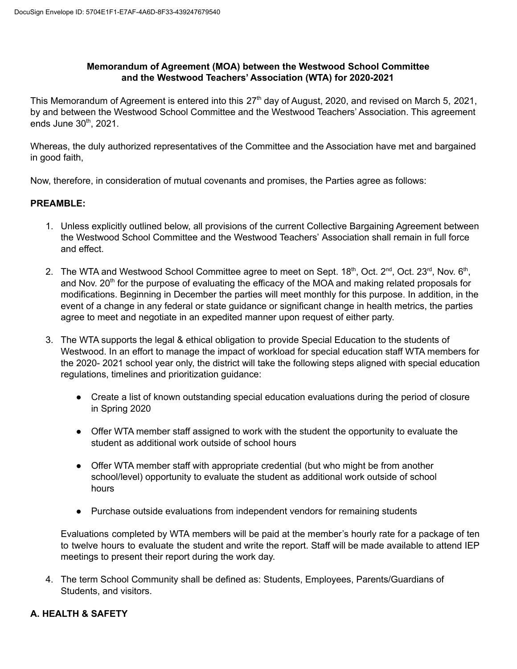## **Memorandum of Agreement (MOA) between the Westwood School Committee and the Westwood Teachers' Association (WTA) for 2020-2021**

This Memorandum of Agreement is entered into this 27<sup>th</sup> day of August, 2020, and revised on March 5, 2021, by and between the Westwood School Committee and the Westwood Teachers' Association. This agreement ends June 30<sup>th</sup>, 2021.

Whereas, the duly authorized representatives of the Committee and the Association have met and bargained in good faith,

Now, therefore, in consideration of mutual covenants and promises, the Parties agree as follows:

## **PREAMBLE:**

- 1. Unless explicitly outlined below, all provisions of the current Collective Bargaining Agreement between the Westwood School Committee and the Westwood Teachers' Association shall remain in full force and effect.
- 2. The WTA and Westwood School Committee agree to meet on Sept. 18<sup>th</sup>, Oct. 2<sup>nd</sup>, Oct. 23<sup>rd</sup>, Nov. 6<sup>th</sup>, and Nov. 20<sup>th</sup> for the purpose of evaluating the efficacy of the MOA and making related proposals for modifications. Beginning in December the parties will meet monthly for this purpose. In addition, in the event of a change in any federal or state guidance or significant change in health metrics, the parties agree to meet and negotiate in an expedited manner upon request of either party.
- 3. The WTA supports the legal & ethical obligation to provide Special Education to the students of Westwood. In an effort to manage the impact of workload for special education staff WTA members for the 2020- 2021 school year only, the district will take the following steps aligned with special education regulations, timelines and prioritization guidance:
	- Create a list of known outstanding special education evaluations during the period of closure in Spring 2020
	- Offer WTA member staff assigned to work with the student the opportunity to evaluate the student as additional work outside of school hours
	- Offer WTA member staff with appropriate credential (but who might be from another school/level) opportunity to evaluate the student as additional work outside of school hours
	- Purchase outside evaluations from independent vendors for remaining students

Evaluations completed by WTA members will be paid at the member's hourly rate for a package of ten to twelve hours to evaluate the student and write the report. Staff will be made available to attend IEP meetings to present their report during the work day.

4. The term School Community shall be defined as: Students, Employees, Parents/Guardians of Students, and visitors.

## **A..HEALTH & SAFETY**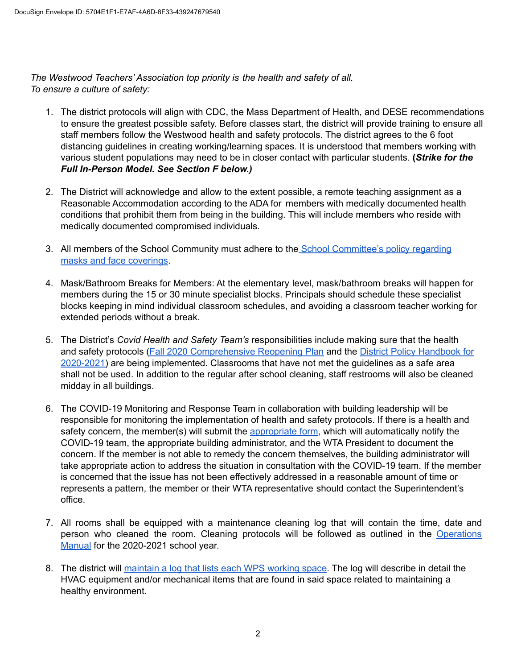*The Westwood Teachers' Association top priority is the health and safety of all. To ensure a culture of safety:*

- 1. The district protocols will align with CDC, the Mass Department of Health, and DESE recommendations to ensure the greatest possible safety. Before classes start, the district will provide training to ensure all staff members follow the Westwood health and safety protocols. The district agrees to the 6 foot distancing guidelines in creating working/learning spaces. It is understood that members working with various student populations may need to be in closer contact with particular students. **(***Strike for the Full In-Person Model. See Section F below.)*
- 2. The District will acknowledge and allow to the extent possible, a remote teaching assignment as a Reasonable Accommodation according to the ADA for members with medically documented health conditions that prohibit them from being in the building. This will include members who reside with medically documented compromised individuals.
- 3. All members of the School Community must adhere to the School [Committee's](https://z2policy.ctspublish.com/masc/browse/westwoodset/westwood/EBCFA) policy regarding masks and face [coverings](https://z2policy.ctspublish.com/masc/browse/westwoodset/westwood/EBCFA).
- 4. Mask/Bathroom Breaks for Members: At the elementary level, mask/bathroom breaks will happen for members during the 15 or 30 minute specialist blocks. Principals should schedule these specialist blocks keeping in mind individual classroom schedules, and avoiding a classroom teacher working for extended periods without a break.
- 5. The District's *Covid Health and Safety Team's* responsibilities include making sure that the health and safety protocols (Fall 2020 [Comprehensive](https://docs.google.com/document/d/1n3qyFOLXYxpw-Sahcxdi--mYWXhig3j9T_Utbz-zRWo/edit) Reopening Plan and the District Policy [Handbook](https://drive.google.com/file/d/1CHvoKTICF8KcVa8_HqBTEMPCLTBV2Jft/view?ts=5f3bd359) for [2020-2021\)](https://drive.google.com/file/d/1CHvoKTICF8KcVa8_HqBTEMPCLTBV2Jft/view?ts=5f3bd359) are being implemented. Classrooms that have not met the guidelines as a safe area shall not be used. In addition to the regular after school cleaning, staff restrooms will also be cleaned midday in all buildings.
- 6. The COVID-19 Monitoring and Response Team in collaboration with building leadership will be responsible for monitoring the implementation of health and safety protocols. If there is a health and safety concern, the member(s) will submit the [appropriate](https://docs.google.com/forms/d/e/1FAIpQLSc8riDb9yPegIHzzsHhJdnzpwsORIroCg0eIFMe9TWTYVj9cg/viewform) form, which will automatically notify the COVID-19 team, the appropriate building administrator, and the WTA President to document the concern. If the member is not able to remedy the concern themselves, the building administrator will take appropriate action to address the situation in consultation with the COVID-19 team. If the member is concerned that the issue has not been effectively addressed in a reasonable amount of time or represents a pattern, the member or their WTA representative should contact the Superintendent's office.
- 7. All rooms shall be equipped with a maintenance cleaning log that will contain the time, date and person who cleaned the room. Cleaning protocols will be followed as outlined in the [Operations](https://docs.google.com/document/d/1cPrsfucucbpdSXXXpYvcxKc3fj6bB6GzeNt_DyKdT70/edit?ts=5f3d80f9) [Manual](https://docs.google.com/document/d/1cPrsfucucbpdSXXXpYvcxKc3fj6bB6GzeNt_DyKdT70/edit?ts=5f3d80f9) for the 2020-2021 school year.
- 8. The district will [maintain](https://drive.google.com/file/d/1aR_tZR44nxP3twHe5tJxQERyshS2r2Hg/view?usp=sharing) a log that lists each WPS working space. The log will describe in detail the HVAC equipment and/or mechanical items that are found in said space related to maintaining a healthy environment.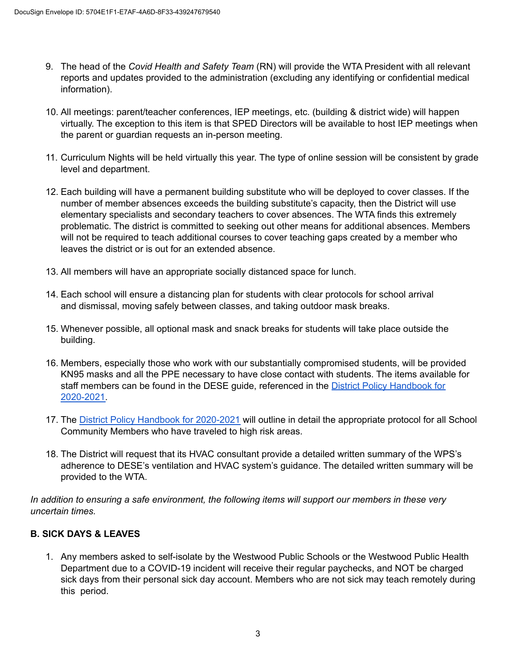- 9. The head of the *Covid Health and Safety Team* (RN) will provide the WTA President with all relevant reports and updates provided to the administration (excluding any identifying or confidential medical information).
- 10. All meetings: parent/teacher conferences, IEP meetings, etc. (building & district wide) will happen virtually. The exception to this item is that SPED Directors will be available to host IEP meetings when the parent or guardian requests an in-person meeting.
- 11. Curriculum Nights will be held virtually this year. The type of online session will be consistent by grade level and department.
- 12. Each building will have a permanent building substitute who will be deployed to cover classes. If the number of member absences exceeds the building substitute's capacity, then the District will use elementary specialists and secondary teachers to cover absences. The WTA finds this extremely problematic. The district is committed to seeking out other means for additional absences. Members will not be required to teach additional courses to cover teaching gaps created by a member who leaves the district or is out for an extended absence.
- 13. All members will have an appropriate socially distanced space for lunch.
- 14. Each school will ensure a distancing plan for students with clear protocols for school arrival and dismissal, moving safely between classes, and taking outdoor mask breaks.
- 15. Whenever possible, all optional mask and snack breaks for students will take place outside the building.
- 16. Members, especially those who work with our substantially compromised students, will be provided KN95 masks and all the PPE necessary to have close contact with students. The items available for staff members can be found in the DESE guide, referenced in the District Policy [Handbook](https://drive.google.com/file/d/1CHvoKTICF8KcVa8_HqBTEMPCLTBV2Jft/view?ts=5f3bd359) for [2020-2021.](https://drive.google.com/file/d/1CHvoKTICF8KcVa8_HqBTEMPCLTBV2Jft/view?ts=5f3bd359)
- 17. The District Policy Handbook for [2020-2021](https://drive.google.com/file/d/1CHvoKTICF8KcVa8_HqBTEMPCLTBV2Jft/view?ts=5f3bd359) will outline in detail the appropriate protocol for all School Community Members who have traveled to high risk areas.
- 18. The District will request that its HVAC consultant provide a detailed written summary of the WPS's adherence to DESE's ventilation and HVAC system's guidance. The detailed written summary will be provided to the WTA.

*In addition to ensuring a safe environment, the following items will support our members in these very uncertain times.*

# **B. SICK DAYS & LEAVES**

1. Any members asked to self-isolate by the Westwood Public Schools or the Westwood Public Health Department due to a COVID-19 incident will receive their regular paychecks, and NOT be charged sick days from their personal sick day account. Members who are not sick may teach remotely during this period.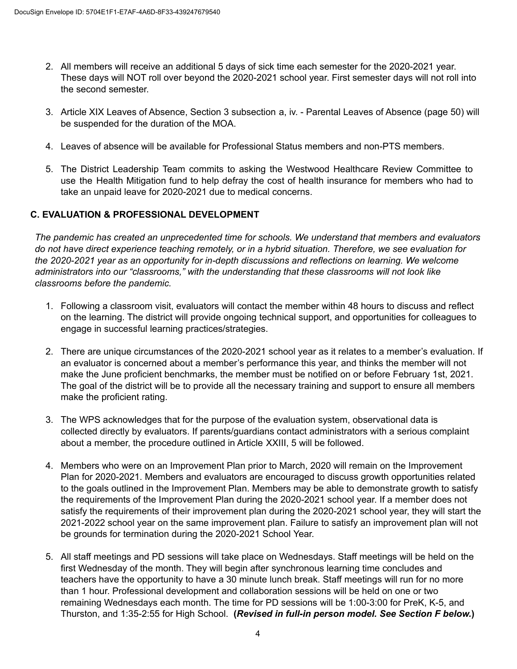- 2. All members will receive an additional 5 days of sick time each semester for the 2020-2021 year. These days will NOT roll over beyond the 2020-2021 school year. First semester days will not roll into the second semester.
- 3. Article XIX Leaves of Absence, Section 3 subsection a, iv. Parental Leaves of Absence (page 50) will be suspended for the duration of the MOA.
- 4. Leaves of absence will be available for Professional Status members and non-PTS members.
- 5. The District Leadership Team commits to asking the Westwood Healthcare Review Committee to use the Health Mitigation fund to help defray the cost of health insurance for members who had to take an unpaid leave for 2020-2021 due to medical concerns.

## **C. EVALUATION & PROFESSIONAL DEVELOPMENT**

*The pandemic has created an unprecedented time for schools. We understand that members and evaluators* do not have direct experience teaching remotely, or in a hybrid situation. Therefore, we see evaluation for *the 2020-2021 year as an opportunity for in-depth discussions and reflections on learning. We welcome administrators into our "classrooms," with the understanding that these classrooms will not look like classrooms before the pandemic.*

- 1. Following a classroom visit, evaluators will contact the member within 48 hours to discuss and reflect on the learning. The district will provide ongoing technical support, and opportunities for colleagues to engage in successful learning practices/strategies.
- 2. There are unique circumstances of the 2020-2021 school year as it relates to a member's evaluation. If an evaluator is concerned about a member's performance this year, and thinks the member will not make the June proficient benchmarks, the member must be notified on or before February 1st, 2021. The goal of the district will be to provide all the necessary training and support to ensure all members make the proficient rating.
- 3. The WPS acknowledges that for the purpose of the evaluation system, observational data is collected directly by evaluators. If parents/guardians contact administrators with a serious complaint about a member, the procedure outlined in Article XXIII, 5 will be followed.
- 4. Members who were on an Improvement Plan prior to March, 2020 will remain on the Improvement Plan for 2020-2021. Members and evaluators are encouraged to discuss growth opportunities related to the goals outlined in the Improvement Plan. Members may be able to demonstrate growth to satisfy the requirements of the Improvement Plan during the 2020-2021 school year. If a member does not satisfy the requirements of their improvement plan during the 2020-2021 school year, they will start the 2021-2022 school year on the same improvement plan. Failure to satisfy an improvement plan will not be grounds for termination during the 2020-2021 School Year.
- 5. All staff meetings and PD sessions will take place on Wednesdays. Staff meetings will be held on the first Wednesday of the month. They will begin after synchronous learning time concludes and teachers have the opportunity to have a 30 minute lunch break. Staff meetings will run for no more than 1 hour. Professional development and collaboration sessions will be held on one or two remaining Wednesdays each month. The time for PD sessions will be 1:00-3:00 for PreK, K-5, and Thurston, and 1:35-2:55 for High School. **(***Revised in full-in person model. See Section F below.***)**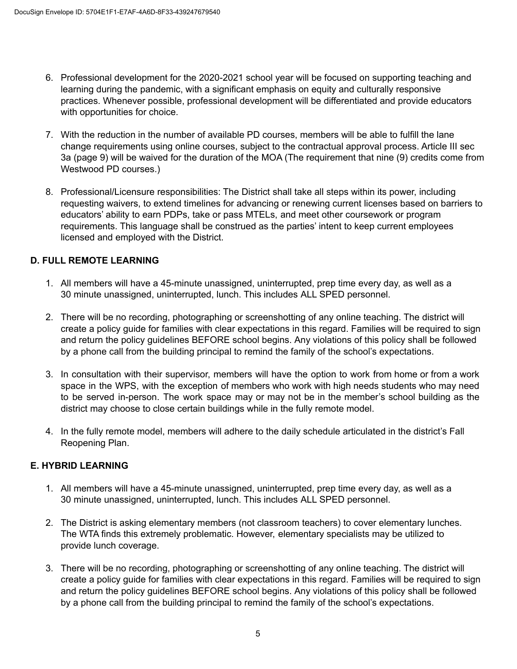- 6. Professional development for the 2020-2021 school year will be focused on supporting teaching and learning during the pandemic, with a significant emphasis on equity and culturally responsive practices. Whenever possible, professional development will be differentiated and provide educators with opportunities for choice.
- 7. With the reduction in the number of available PD courses, members will be able to fulfill the lane change requirements using online courses, subject to the contractual approval process. Article III sec 3a (page 9) will be waived for the duration of the MOA (The requirement that nine (9) credits come from Westwood PD courses.)
- 8. Professional/Licensure responsibilities: The District shall take all steps within its power, including requesting waivers, to extend timelines for advancing or renewing current licenses based on barriers to educators' ability to earn PDPs, take or pass MTELs, and meet other coursework or program requirements. This language shall be construed as the parties' intent to keep current employees licensed and employed with the District.

## **D. FULL REMOTE LEARNING**

- 1. All members will have a 45-minute unassigned, uninterrupted, prep time every day, as well as a 30 minute unassigned, uninterrupted, lunch. This includes ALL SPED personnel.
- 2. There will be no recording, photographing or screenshotting of any online teaching. The district will create a policy guide for families with clear expectations in this regard. Families will be required to sign and return the policy guidelines BEFORE school begins. Any violations of this policy shall be followed by a phone call from the building principal to remind the family of the school's expectations.
- 3. In consultation with their supervisor, members will have the option to work from home or from a work space in the WPS, with the exception of members who work with high needs students who may need to be served in-person. The work space may or may not be in the member's school building as the district may choose to close certain buildings while in the fully remote model.
- 4. In the fully remote model, members will adhere to the daily schedule articulated in the district's Fall Reopening Plan.

## **E. HYBRID LEARNING**

- 1. All members will have a 45-minute unassigned, uninterrupted, prep time every day, as well as a 30 minute unassigned, uninterrupted, lunch. This includes ALL SPED personnel.
- 2. The District is asking elementary members (not classroom teachers) to cover elementary lunches. The WTA finds this extremely problematic. However, elementary specialists may be utilized to provide lunch coverage.
- 3. There will be no recording, photographing or screenshotting of any online teaching. The district will create a policy guide for families with clear expectations in this regard. Families will be required to sign and return the policy guidelines BEFORE school begins. Any violations of this policy shall be followed by a phone call from the building principal to remind the family of the school's expectations.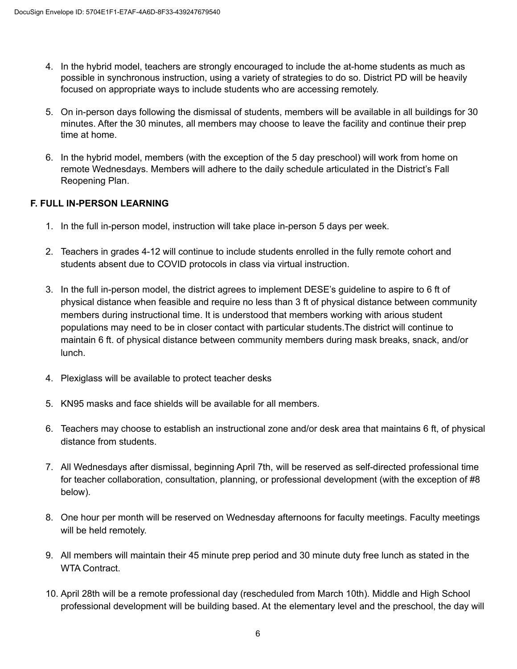- 4. In the hybrid model, teachers are strongly encouraged to include the at-home students as much as possible in synchronous instruction, using a variety of strategies to do so. District PD will be heavily focused on appropriate ways to include students who are accessing remotely.
- 5. On in-person days following the dismissal of students, members will be available in all buildings for 30 minutes. After the 30 minutes, all members may choose to leave the facility and continue their prep time at home.
- 6. In the hybrid model, members (with the exception of the 5 day preschool) will work from home on remote Wednesdays. Members will adhere to the daily schedule articulated in the District's Fall Reopening Plan.

## **F. FULL IN-PERSON LEARNING**

- 1. In the full in-person model, instruction will take place in-person 5 days per week.
- 2. Teachers in grades 4-12 will continue to include students enrolled in the fully remote cohort and students absent due to COVID protocols in class via virtual instruction.
- 3. In the full in-person model, the district agrees to implement DESE's guideline to aspire to 6 ft of physical distance when feasible and require no less than 3 ft of physical distance between community members during instructional time. It is understood that members working with arious student populations may need to be in closer contact with particular students.The district will continue to maintain 6 ft. of physical distance between community members during mask breaks, snack, and/or lunch.
- 4. Plexiglass will be available to protect teacher desks
- 5. KN95 masks and face shields will be available for all members.
- 6. Teachers may choose to establish an instructional zone and/or desk area that maintains 6 ft, of physical distance from students.
- 7. All Wednesdays after dismissal, beginning April 7th, will be reserved as self-directed professional time for teacher collaboration, consultation, planning, or professional development (with the exception of #8 below).
- 8. One hour per month will be reserved on Wednesday afternoons for faculty meetings. Faculty meetings will be held remotely.
- 9. All members will maintain their 45 minute prep period and 30 minute duty free lunch as stated in the WTA Contract.
- 10. April 28th will be a remote professional day (rescheduled from March 10th). Middle and High School professional development will be building based. At the elementary level and the preschool, the day will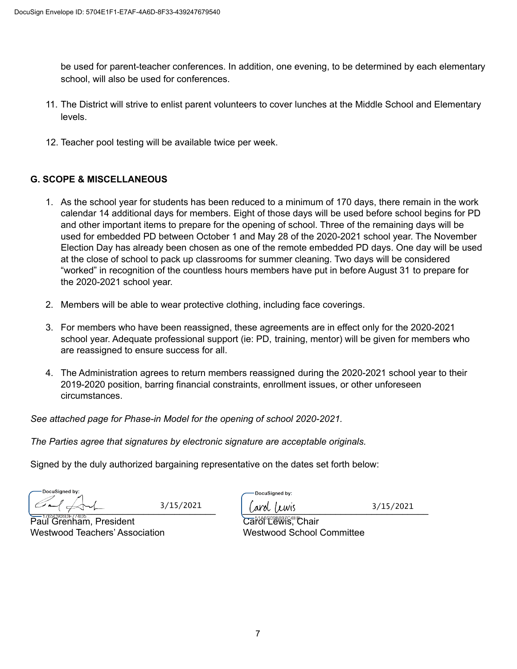be used for parent-teacher conferences. In addition, one evening, to be determined by each elementary school, will also be used for conferences.

- 11. The District will strive to enlist parent volunteers to cover lunches at the Middle School and Elementary levels.
- 12. Teacher pool testing will be available twice per week.

# **G. SCOPE & MISCELLANEOUS**

- 1. As the school year for students has been reduced to a minimum of 170 days, there remain in the work calendar 14 additional days for members. Eight of those days will be used before school begins for PD and other important items to prepare for the opening of school. Three of the remaining days will be used for embedded PD between October 1 and May 28 of the 2020-2021 school year. The November Election Day has already been chosen as one of the remote embedded PD days. One day will be used at the close of school to pack up classrooms for summer cleaning. Two days will be considered "worked" in recognition of the countless hours members have put in before August 31 to prepare for the 2020-2021 school year.
- 2. Members will be able to wear protective clothing, including face coverings.
- 3. For members who have been reassigned, these agreements are in effect only for the 2020-2021 school year. Adequate professional support (ie: PD, training, mentor) will be given for members who are reassigned to ensure success for all.
- 4. The Administration agrees to return members reassigned during the 2020-2021 school year to their 2019-2020 position, barring financial constraints, enrollment issues, or other unforeseen circumstances.

*See attached page for Phase-in Model for the opening of school 2020-2021.*

*The Parties agree that signatures by electronic signature are acceptable originals.*

Signed by the duly authorized bargaining representative on the dates set forth below:

**DocuSianed by:**  $\frac{1}{2}$   $\frac{1}{2}$   $\frac{1}{2}$   $\frac{1}{2}$   $\frac{1}{2}$   $\frac{1}{2}$   $\frac{1}{2}$   $\frac{1}{2}$   $\frac{1}{2}$   $\frac{1}{2}$   $\frac{1}{2}$   $\frac{1}{2}$   $\frac{1}{2}$   $\frac{1}{2}$   $\frac{1}{2}$   $\frac{1}{2}$   $\frac{1}{2}$   $\frac{1}{2}$   $\frac{1}{2}$   $\frac{1}{2}$   $\frac{1}{2}$   $\frac{1}{2}$ 

 $\overline{\text{Pauli}}$  Grenham, President  $\overline{\text{Calli}}$  Catch  $\overline{\text{Calli}}$  Carol Lewis, Chair Westwood Teachers' Association **Westwood School Committee** 

OocuSianed by:

 $3/15/2021$   $\int \omega v \, dv \, dv$   $3/15/2021$